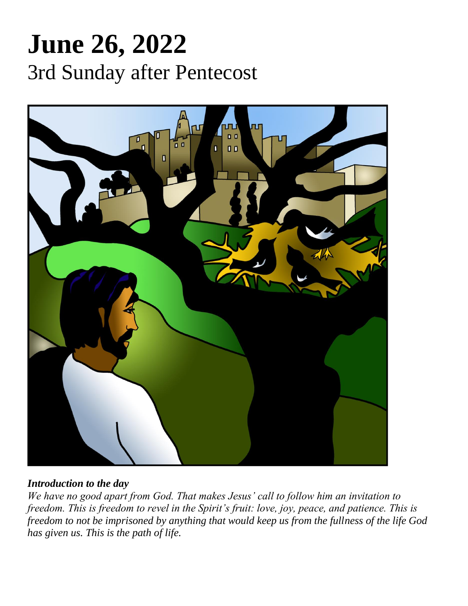# **June 26, 2022** 3rd Sunday after Pentecost



# *Introduction to the day*

*We have no good apart from God. That makes Jesus' call to follow him an invitation to freedom. This is freedom to revel in the Spirit's fruit: love, joy, peace, and patience. This is freedom to not be imprisoned by anything that would keep us from the fullness of the life God has given us. This is the path of life.*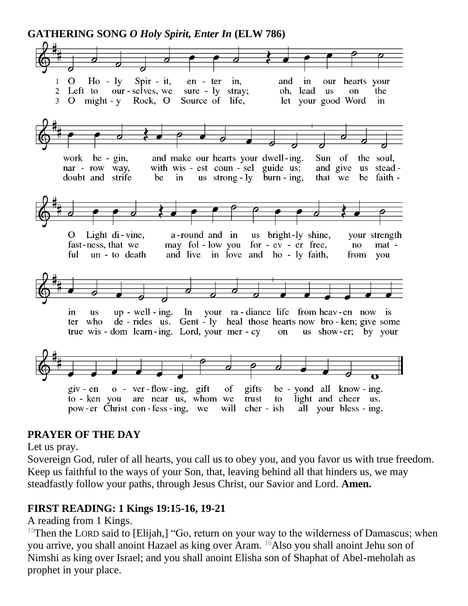**GATHERING SONG** *O Holy Spirit, Enter In* **(ELW 786)**



# **PRAYER OF THE DAY**

Let us pray.

Sovereign God, ruler of all hearts, you call us to obey you, and you favor us with true freedom. Keep us faithful to the ways of your Son, that, leaving behind all that hinders us, we may steadfastly follow your paths, through Jesus Christ, our Savior and Lord. **Amen.**

# **FIRST READING: 1 Kings 19:15-16, 19-21**

A reading from 1 Kings.

<sup>15</sup>Then the LORD said to [Elijah,] "Go, return on your way to the wilderness of Damascus; when you arrive, you shall anoint Hazael as king over Aram. <sup>16</sup>Also you shall anoint Jehu son of Nimshi as king over Israel; and you shall anoint Elisha son of Shaphat of Abel-meholah as prophet in your place.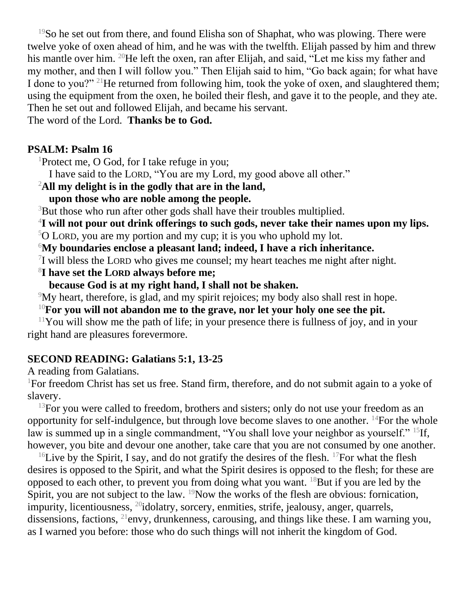$19$ So he set out from there, and found Elisha son of Shaphat, who was plowing. There were twelve yoke of oxen ahead of him, and he was with the twelfth. Elijah passed by him and threw his mantle over him. <sup>20</sup>He left the oxen, ran after Elijah, and said, "Let me kiss my father and my mother, and then I will follow you." Then Elijah said to him, "Go back again; for what have I done to you?" <sup>21</sup>He returned from following him, took the yoke of oxen, and slaughtered them; using the equipment from the oxen, he boiled their flesh, and gave it to the people, and they ate. Then he set out and followed Elijah, and became his servant.

The word of the Lord. **Thanks be to God.**

### **PSALM: Psalm 16**

<sup>1</sup>Protect me, O God, for I take refuge in you;

I have said to the LORD, "You are my Lord, my good above all other."

# <sup>2</sup>**All my delight is in the godly that are in the land,**

#### **upon those who are noble among the people.**

<sup>3</sup>But those who run after other gods shall have their troubles multiplied.

4 **I will not pour out drink offerings to such gods, never take their names upon my lips.**

 $5$ O LORD, you are my portion and my cup; it is you who uphold my lot.

<sup>6</sup>**My boundaries enclose a pleasant land; indeed, I have a rich inheritance.**

<sup>7</sup>I will bless the LORD who gives me counsel; my heart teaches me night after night.

## 8 **I have set the LORD always before me;**

**because God is at my right hand, I shall not be shaken.**

<sup>9</sup>My heart, therefore, is glad, and my spirit rejoices; my body also shall rest in hope.

<sup>10</sup>**For you will not abandon me to the grave, nor let your holy one see the pit.**

 $11$ You will show me the path of life; in your presence there is fullness of joy, and in your right hand are pleasures forevermore.

## **SECOND READING: Galatians 5:1, 13-25**

A reading from Galatians.

<sup>1</sup>For freedom Christ has set us free. Stand firm, therefore, and do not submit again to a yoke of slavery.

 $13$  For you were called to freedom, brothers and sisters; only do not use your freedom as an opportunity for self-indulgence, but through love become slaves to one another. <sup>14</sup>For the whole law is summed up in a single commandment, "You shall love your neighbor as yourself." <sup>15</sup>If, however, you bite and devour one another, take care that you are not consumed by one another.

<sup>16</sup>Live by the Spirit, I say, and do not gratify the desires of the flesh. <sup>17</sup>For what the flesh desires is opposed to the Spirit, and what the Spirit desires is opposed to the flesh; for these are opposed to each other, to prevent you from doing what you want. <sup>18</sup>But if you are led by the Spirit, you are not subject to the law.  $19$ Now the works of the flesh are obvious: fornication, impurity, licentiousness, <sup>20</sup>idolatry, sorcery, enmities, strife, jealousy, anger, quarrels, dissensions, factions, <sup>21</sup>envy, drunkenness, carousing, and things like these. I am warning you, as I warned you before: those who do such things will not inherit the kingdom of God.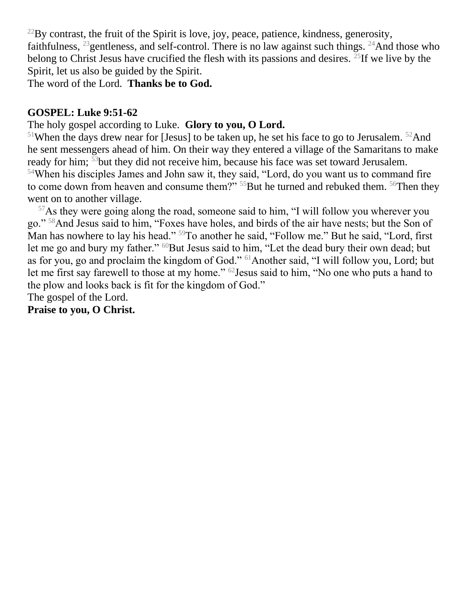$^{22}$ By contrast, the fruit of the Spirit is love, joy, peace, patience, kindness, generosity, faithfulness,  $^{23}$  gentleness, and self-control. There is no law against such things.  $^{24}$ And those who belong to Christ Jesus have crucified the flesh with its passions and desires. <sup>25</sup>If we live by the Spirit, let us also be guided by the Spirit.

The word of the Lord. **Thanks be to God.**

# **GOSPEL: Luke 9:51-62**

The holy gospel according to Luke. **Glory to you, O Lord.**

 $51$ When the days drew near for [Jesus] to be taken up, he set his face to go to Jerusalem.  $52$ And he sent messengers ahead of him. On their way they entered a village of the Samaritans to make ready for him; <sup>53</sup>but they did not receive him, because his face was set toward Jerusalem. <sup>54</sup>When his disciples James and John saw it, they said, "Lord, do you want us to command fire to come down from heaven and consume them?" <sup>55</sup>But he turned and rebuked them. <sup>56</sup>Then they went on to another village.

 $57\text{As}$  they were going along the road, someone said to him, "I will follow you wherever you go." <sup>58</sup>And Jesus said to him, "Foxes have holes, and birds of the air have nests; but the Son of Man has nowhere to lay his head." <sup>59</sup>To another he said, "Follow me." But he said, "Lord, first let me go and bury my father." <sup>60</sup>But Jesus said to him, "Let the dead bury their own dead; but as for you, go and proclaim the kingdom of God." <sup>61</sup>Another said, "I will follow you, Lord; but let me first say farewell to those at my home." <sup>62</sup>Jesus said to him, "No one who puts a hand to the plow and looks back is fit for the kingdom of God."

The gospel of the Lord.

**Praise to you, O Christ.**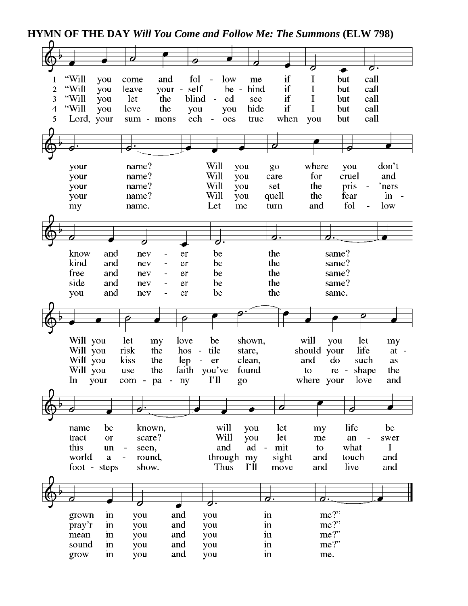**HYMN OF THE DAY** *Will You Come and Follow Me: The Summons* **(ELW 798)**ঠ∙ J "Will if  $\overline{I}$ call and fol  $low$ but  $\mathbf{1}$ you come me "Will  $\overline{c}$ you leave your self  $be$ hind if  $\bf I$ but call  $\overline{\mathbf{3}}$ "Will let the blind ed if  $\mathbf I$ but call you see  $\overline{4}$ "Will you love the you you hide if  $\mathbf I$ but call 5 Lord, your sum - mons  $ech$ oes true when you but call  $\sim$  $\overline{\phi}$ :  $\overline{\boldsymbol{\sigma}}$ Will your name? you where don't go you your name? Will you care for cruel and Will name? the pris 'ners your you set  $\sim$ name? Will quell the fear  $in$ your you fol low my name. Let me turn and  $\blacksquare$  $\overline{\boldsymbol{d}}$  . know and  $er$ be the same? nev  $\overline{\phantom{0}}$ kind and nev  $\overline{\phantom{a}}$ er be the same? free and nev  $\frac{1}{2}$ er be the same? side be the same? and nev er  $\blacksquare$ be you and nev  $\overline{a}$ er the same. Will you let love be shown, will you let my my Will you risk the hos tile should your life  $at$ stare,  $-$  er Will you kiss the lep clean, and do such as Will you use the faith you've found to. re shape the  $\Gamma$ ll where your  $In$ your com - pa  $\sim$ ny love and go  $\overline{\boldsymbol{d}}$ ø θ d ð known, will life name be you let my be tract scare? Will you let me an swer **or**  $\overline{a}$ this seen, and ad mit to what I un  $\blacksquare$ world round, through my sight touch  $\mathbf{a}$  $\bar{\phantom{a}}$ and and  $\Gamma$ <sup>1</sup> foot - steps show. **Thus** move and live and  $\overline{\mathcal{O}}$ and  $me?$ grown you you in in me?" pray'r in in you and you mean  $\mathbf{in}$ you and you in me?" you me?" sound in and you in grow in you and you  $\overline{\text{in}}$ me.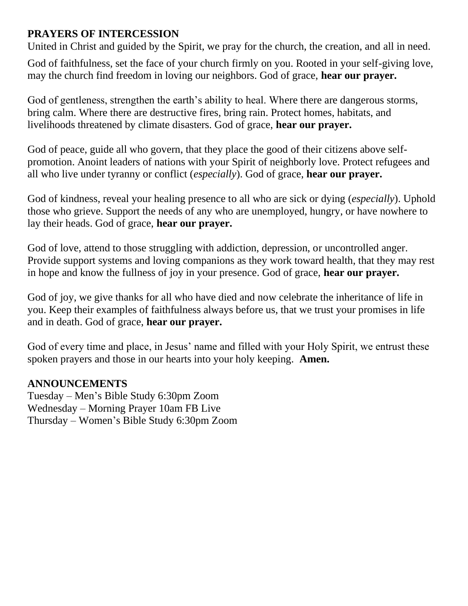# **PRAYERS OF INTERCESSION**

United in Christ and guided by the Spirit, we pray for the church, the creation, and all in need.

God of faithfulness, set the face of your church firmly on you. Rooted in your self-giving love, may the church find freedom in loving our neighbors. God of grace, **hear our prayer.**

God of gentleness, strengthen the earth's ability to heal. Where there are dangerous storms, bring calm. Where there are destructive fires, bring rain. Protect homes, habitats, and livelihoods threatened by climate disasters. God of grace, **hear our prayer.**

God of peace, guide all who govern, that they place the good of their citizens above selfpromotion. Anoint leaders of nations with your Spirit of neighborly love. Protect refugees and all who live under tyranny or conflict (*especially*). God of grace, **hear our prayer.**

God of kindness, reveal your healing presence to all who are sick or dying (*especially*). Uphold those who grieve. Support the needs of any who are unemployed, hungry, or have nowhere to lay their heads. God of grace, **hear our prayer.**

God of love, attend to those struggling with addiction, depression, or uncontrolled anger. Provide support systems and loving companions as they work toward health, that they may rest in hope and know the fullness of joy in your presence. God of grace, **hear our prayer.**

God of joy, we give thanks for all who have died and now celebrate the inheritance of life in you. Keep their examples of faithfulness always before us, that we trust your promises in life and in death. God of grace, **hear our prayer.**

God of every time and place, in Jesus' name and filled with your Holy Spirit, we entrust these spoken prayers and those in our hearts into your holy keeping. **Amen.**

# **ANNOUNCEMENTS**

Tuesday – Men's Bible Study 6:30pm Zoom Wednesday – Morning Prayer 10am FB Live Thursday – Women's Bible Study 6:30pm Zoom